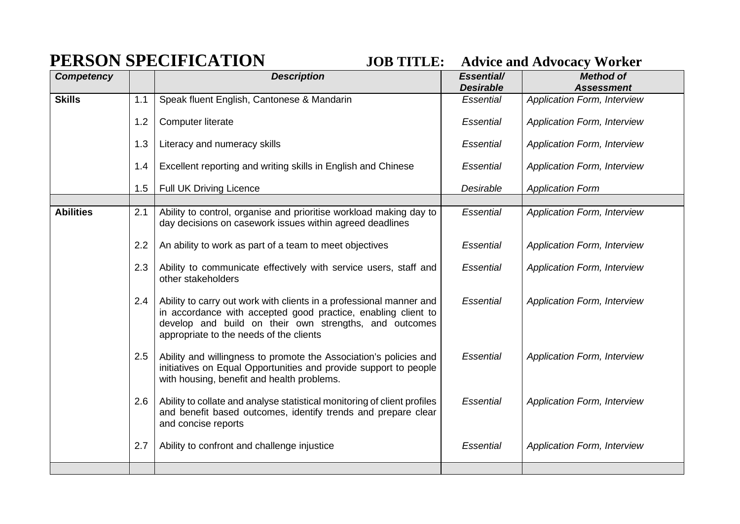## **PERSON SPECIFICATION JOB TITLE: Advice and Advocacy Worker**

| <b>Competency</b> |     | <b>Description</b>                                                                                                                                                                                                                        | Essential/<br><b>Desirable</b> | <b>Method of</b><br><b>Assessment</b> |
|-------------------|-----|-------------------------------------------------------------------------------------------------------------------------------------------------------------------------------------------------------------------------------------------|--------------------------------|---------------------------------------|
| <b>Skills</b>     | 1.1 | Speak fluent English, Cantonese & Mandarin                                                                                                                                                                                                | Essential                      | <b>Application Form, Interview</b>    |
|                   | 1.2 | <b>Computer literate</b>                                                                                                                                                                                                                  | Essential                      | <b>Application Form, Interview</b>    |
|                   | 1.3 | Literacy and numeracy skills                                                                                                                                                                                                              | Essential                      | <b>Application Form, Interview</b>    |
|                   | 1.4 | Excellent reporting and writing skills in English and Chinese                                                                                                                                                                             | <b>Essential</b>               | <b>Application Form, Interview</b>    |
|                   | 1.5 | <b>Full UK Driving Licence</b>                                                                                                                                                                                                            | Desirable                      | <b>Application Form</b>               |
| <b>Abilities</b>  | 2.1 | Ability to control, organise and prioritise workload making day to<br>day decisions on casework issues within agreed deadlines                                                                                                            | Essential                      | <b>Application Form, Interview</b>    |
|                   | 2.2 | An ability to work as part of a team to meet objectives                                                                                                                                                                                   | Essential                      | <b>Application Form, Interview</b>    |
|                   | 2.3 | Ability to communicate effectively with service users, staff and<br>other stakeholders                                                                                                                                                    | Essential                      | <b>Application Form, Interview</b>    |
|                   | 2.4 | Ability to carry out work with clients in a professional manner and<br>in accordance with accepted good practice, enabling client to<br>develop and build on their own strengths, and outcomes<br>appropriate to the needs of the clients | Essential                      | <b>Application Form, Interview</b>    |
|                   | 2.5 | Ability and willingness to promote the Association's policies and<br>initiatives on Equal Opportunities and provide support to people<br>with housing, benefit and health problems.                                                       | Essential                      | <b>Application Form, Interview</b>    |
|                   | 2.6 | Ability to collate and analyse statistical monitoring of client profiles<br>and benefit based outcomes, identify trends and prepare clear<br>and concise reports                                                                          | Essential                      | <b>Application Form, Interview</b>    |
|                   | 2.7 | Ability to confront and challenge injustice                                                                                                                                                                                               | <b>Essential</b>               | <b>Application Form, Interview</b>    |
|                   |     |                                                                                                                                                                                                                                           |                                |                                       |